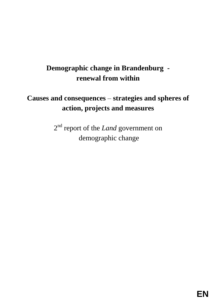# **Demographic change in Brandenburg renewal from within**

# **Causes and consequences –strategies and spheres of action, projects and measures**

2 nd report of the *Land* government on demographic change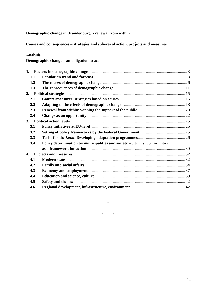**Demographic change in Brandenburg - renewal from within**

**Causes and consequences –strategies and spheres of action, projects and measures**

## **Analysis**

**Demographic change –an obligation to act**

| 1.  |                                                                              |  |
|-----|------------------------------------------------------------------------------|--|
| 1.1 |                                                                              |  |
| 1.2 |                                                                              |  |
| 1.3 |                                                                              |  |
| 2.  |                                                                              |  |
| 2.1 |                                                                              |  |
| 2.2 |                                                                              |  |
| 2.3 |                                                                              |  |
| 2.4 |                                                                              |  |
| 3.  |                                                                              |  |
| 3.1 |                                                                              |  |
| 3.2 |                                                                              |  |
| 3.3 |                                                                              |  |
| 3.4 | Policy determination by municipalities and society $-$ citizens' communities |  |
|     |                                                                              |  |
| 4.  |                                                                              |  |
| 4.1 |                                                                              |  |
| 4.2 |                                                                              |  |
| 4.3 |                                                                              |  |
| 4.4 |                                                                              |  |
| 4.5 |                                                                              |  |
| 4.6 |                                                                              |  |

\*

\* \*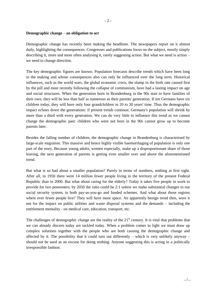#### **Demographic change –an obligation to act**

Demographic change has recently been making the headlines. The newspapers report on it almost daily, highlighting the consequences. Congresses and publications focus on the subject, mostly simply describing it, more and more often analysing it, rarely suggesting action. But what we need is action – we need to change direction.

The key demographic figures are known. Population forecasts describe trends which have been long in the making and whose consequences also can only be influenced over the long term. Historical influences, such as the world wars, the global economic crisis, the slump in the birth rate caused first by the pill and most recently following the collapse of communism, have had a lasting impact on age and social structures. When the generation born in Brandenburg in the 90s start to have families of their own, they will be less than half as numerous as their parents' generation. If ten Germans have six children today, they will have only four grandchildren in 20 to 30 years' time. Thus the demographic impact echoes down the generations: if present trends continue, Germany's population will shrink by more than a third with every generation. We can do very little to influence this trend as we cannot change the demographic past: children who were not born in the 90s cannot grow up to become parents later.

Besides the falling number of children, the demographic change in Brandenburg is characterised by large-scale migration. This massive and hence highly visible haemorrhaging of population is only one part of the story. Because young adults, women especially, make up a disproportionate share of those leaving, the next generation of parents is getting even smaller over and above the aforementioned trend.

But what is so bad about a smaller population? Purely in terms of numbers, nothing at first sight. After all, in 1950 there were 14 million fewer people living in the territory of the present Federal Republic than in 2000. But what about caring for the elderly? Today it takes five people in work to provide for two pensioners; by 2050 the ratio could be 2:1 unless we make substantial changes to our social security system, to both pay-as-you-go and funded schemes. And what about those regions where ever fewer people live? They will have more space. An apparently benign trend then, were it not for the impact on public utilities and waste disposal systems and the demands –including the entitlement mentality - on medical care, education, transport, etc.

The challenges of demographic change are the reality of the  $21<sup>st</sup>$  century. It is vital that problems that we can already discern today are tackled today. When a problem comes to light we must draw up complex solutions together with the people who are both causing the demographic change and affected by it. The possibility that it could turn out differently – which is very unlikely anyway – should not be used as an excuse for doing nothing. Anyone suggesting this is acting in a politically irresponsible fashion.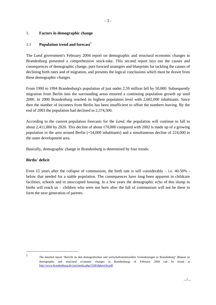# 1. **Factors in demographic change**

# 1.1 **Population trend and forecast**

The *Land* government's February 2004 report on demographic and structural economic changes in Brandenburg presented a comprehensive stock-take. This second report lays out the causes and consequences of demographic change, puts forward strategies and blueprints for tackling the causes of declining birth rates and of migration, and presents the logical conclusions which must be drawn from these demographic changes.

From 1990 to 1994 Brandenburg's population of just under 2.59 million fell by 50,000. Subsequently migration from Berlin into the surrounding areas ensured a continuing population growth up until 2000. In 2000 Brandenburg reached its highest population level with 2,602,000 inhabitants. Since then the number of incomers from Berlin has been insufficient to offset the numbers leaving. By the end of 2003 the population had declined to 2,574,500.

According to the current population forecasts for the *Land*, the population will continue to fall to about 2,411,000 by 2020. This decline of about 170,000 compared with 2002 is made up of a growing population in the area around Berlin (+54,000 inhabitants) and a simultaneous decline of 224,000 in the outer development area.

Basically, demographic change in Brandenburg is determined by four trends:

# **Births' deficit**

Even 15 years after the collapse of communism, the birth rate is still considerably  $-$  i.e. 40-50%  $$ below that needed for a stable population. The consequences have long been apparent in childcare facilities, schools and in unoccupied housing. In a few years the demographic echo of this slump in births will reach us – children who were not born after the fall of communism will not be there to form the next generation of parents.

1

The detailed report "Bericht zu den demografischen und wirtschaftsstrukturellen Veränderungen in Brandenburg" (Report on demographic and structural economic changes in Brandenburg) of February 2004 can be found at http://www.brandenburg.de/cms/media.php/1168/dgbericht.pdf.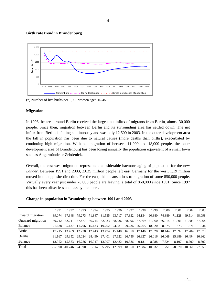

#### **Birth rate trend in Brandenburg**

(\*) Number of live births per 1,000 women aged 15-45

#### **Migration**

In 1998 the area around Berlin received the largest net influx of migrants from Berlin, almost 30,000 people. Since then, migration between Berlin and its surrounding area has settled down. The net influx from Berlin is falling continuously and was only 12,500 in 2003. In the outer development area the fall in population has been due to natural causes (more deaths than births), exacerbated by continuing high migration. With net migration of between 11,000 and 18,000 people, the outer development area of Brandenburg has been losing annually the population equivalent of a small town such as Angermünde or Zehdenick.

Overall, the east-west migration represents a considerable haemorrhaging of population for the new *Länder*. Between 1991 and 2003, 2.035 million people left east Germany for the west; 1.19 million moved in the opposite direction. For the east, this means a loss to migration of some 850,000 people. Virtually every year just under 70,000 people are leaving; a total of 860,000 since 1991. Since 1997 this has been offset less and less by incomers.

|                   | 1991      | 1992               | 1993                 | 1994   | 1995 | 1996         | 1997                                                                           | 1998   | 1999   | 2000  | 2001              | 2002                                                           | 2003     |
|-------------------|-----------|--------------------|----------------------|--------|------|--------------|--------------------------------------------------------------------------------|--------|--------|-------|-------------------|----------------------------------------------------------------|----------|
| Inward migration  | 39.074    |                    | 67.348 79.273        |        |      |              | 71.847 81.535 93.717 97.332 94.134 90.880 74.389 71.128                        |        |        |       |                   | 69.514 68.098                                                  |          |
| Outward migration | 60.712    |                    |                      |        |      |              | 62.211 67.477 56.714 62.333 68.836 68.096 67.869 71.960 66.014 71.801          |        |        |       |                   | 71.385 67.064                                                  |          |
| Balance           | $-21.638$ |                    |                      |        |      |              | 5.137 11.796 15.133 19.202 24.881 29.236 26.265 18.920                         |        |        | 8.375 | $-673$            | -1.871                                                         | 1.034    |
| <b>Births</b>     | 17.215    |                    | 13.469 12.238        | 12.443 |      |              |                                                                                |        |        |       |                   | 13.494 15.140 16.370 17.146 17.928 18.444 17.692 17.704 17.970 |          |
| Deaths            | 31.167    |                    | 29.352 29.024 28.490 |        |      |              | 27.401 27.622 26.756 26.327 26.016 26.068 25.889                               |        |        |       |                   | 26.494                                                         | 26.862   |
| Balance           |           |                    |                      |        |      |              | $-13.952$ $-15.883$ $-16.786$ $-16.047$ $-13.907$ $-12.482$ $-10.386$ $-9.181$ |        | -8.088 |       | $-7.624$ $-8.197$ | -8.790                                                         | $-8.892$ |
| Total             |           | $-35.590 - 10.746$ | -4.990               | $-914$ |      | 5.295 12.399 | 18.850                                                                         | 17.084 | 10.832 | 751   |                   | $-8.870 - 10.661$                                              | $-7.858$ |

#### **Change in population in Brandenburg between 1991 and 2003**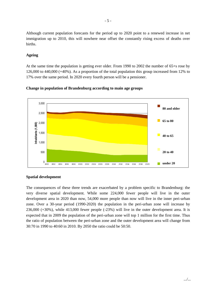Although current population forecasts for the period up to 2020 point to a renewed increase in net immigration up to 2010, this will nowhere near offset the constantly rising excess of deaths over births.

## **Ageing**

At the same time the population is getting ever older. From 1990 to 2002 the number of 65+s rose by 126,000 to 440,000 (+40%). As a proportion of the total population this group increased from 12% to 17% over the same period. In 2020 every fourth person will be a pensioner.



**Change in population of Brandenburg according to main age groups**

# **Spatial development**

The consequences of these three trends are exacerbated by a problem specific to Brandenburg: the very diverse spatial development. While some 224,000 fewer people will live in the outer development area in 2020 than now, 54,000 more people than now will live in the inner peri-urban zone. Over a 30-year period (1990-2020) the population in the peri-urban zone will increase by 236,000 (+30%), while 413,000 fewer people (-23%) will live in the outer development area. It is expected that in 2009 the population of the peri-urban zone will top 1 million for the first time. Thus the ratio of population between the peri-urban zone and the outer development area will change from 30:70 in 1990 to 40:60 in 2010. By 2050 the ratio could be 50:50.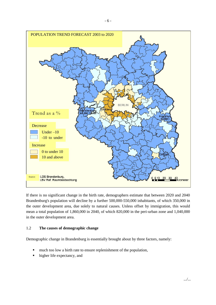

If there is no significant change in the birth rate, demographers estimate that between 2020 and 2040 Brandenburg's population will decline by a further 500,000-550,000 inhabitants, of which 350,000 in the outer development area, due solely to natural causes. Unless offset by immigration, this would mean a total population of 1,860,000 in 2040, of which 820,000 in the peri-urban zone and 1,040,000 in the outer development area.

# 1.2 **The causes of demographic change**

Demographic change in Brandenburg is essentially brought about by three factors, namely:

- much too low a birth rate to ensure replenishment of the population,
- higher life expectancy, and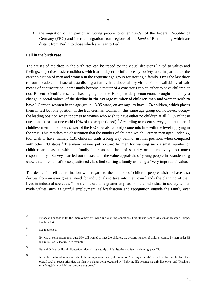the migration of, in particular, young people to other *Länder* of the Federal Republic of Germany (FRG) and internal migration from regions of the *Land* of Brandenburg which are distant from Berlin to those which are near to Berlin.

## **Fall in the birth rate**

The causes of the drop in the birth rate can be traced to: individual decisions linked to values and feelings; objective basic conditions which are subject to influence by society and, in particular, the career situation of men and women in the requisite age group for starting a family. Over the last three to four decades, the issue of establishing a family has, above all by virtue of the availability of safe means of contraception, increasingly become a matter of a conscious choice either to have children or not. Recent scientific research has highlighted the Europe-wide phenomenon, brought about by a change in social values, of the **decline in the average number of children men and women wish to have.**<sup>2</sup> German **women** in the age-group 18-35 want, on average, to have 1.74 children, which places them in last but one position in the EU. German women in this same age group do, however, occupy the leading position when it comes to women who wish to have either no children at all (17% of those questioned), or just one child (19% of those questioned).<sup>3</sup> According to recent surveys, the number of childless **men** in the new *Länder* of the FRG has also already come into line with the level applying in the west. This matches the observation that the number of children which German men aged under 35, too, wish to have, namely 1.31 children, trails a long way behind, in final position, when compared with other EU states.<sup>4</sup> The main reasons put forward by men for wanting such a small number of children are clashes with non-family interests and lack of security or, alternatively, too much responsibility<sup>5</sup>. Surveys carried out to ascertain the value appraisals of young people in Brandenburg show that only half of those questioned classified starting a family as being a "very important" value.<sup>6</sup>

The desire for self-determination with regard to the number of children people wish to have also derives from an ever greater need for individuals to take into their own hands the planning of their lives in industrial societies. "The trend towards a greater emphasis on the individual in society... has made values such as gainful employment, self-realisation and recognition outside the family ever

<sup>2</sup> European Foundation for the Improvement of Living and Working Conditions, Fertility and family issues in an enlarged Europe, Dublin 2004.

<sup>3</sup> See footnote 5.

<sup>4</sup> By way of comparison: men aged 55+ still wanted to have 2.0 children; the average number of children wanted by men under 35 in EU-15 is 2.17 (source; see footnote 5).

<sup>5</sup> Federal Office for Health, Education: Men's lives – study of life histories and family planning, page 27.

<sup>6</sup> In the hierarchy of values on which the surveys were based, the value of "Starting a family" is ranked third in the list of an overall total of seven priorities, the first two places being occupied by "Enjoying life because we only live once" and "Having a satisfying job in which I can become engrossed".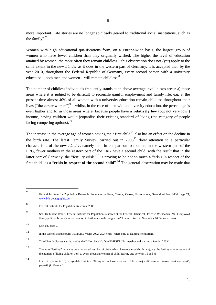more important. Life stories are no longer so closely geared to traditional social institutions, such as the family".<sup>7</sup>

Women with high educational qualifications form, on a Europe-wide basis, the largest group of women who have fewer children than they originally wished. The higher the level of education attained by women, the more often they remain childless – this observation does not (yet) apply to the same extent in the new *Länder* as it does in the western part of Germany. It is accepted that, by the year 2010, throughout the Federal Republic of Germany, every second person with a university education – both men and women – will remain childless. $8^8$ 

The number of childless individuals frequently stands at an above average level in two areas: a) those areas where it is judged to be difficult to reconcile gainful employment and family life, e.g. at the present time almost 40% of all women with a university education remain childless throughout their lives ("the career women") $\alpha$ <sup>9</sup> – whilst, in the case of men with a university education, the percentage is even higher and b) in those areas where, because people have a **relatively low** (but not very low!) income, having children would jeopardise their existing standard of living (the category of people facing competing options). $^{10}$ 

The increase in the average age of women having their first child<sup>11</sup> also has an effect on the decline in the birth rate. The latest Family Survey, carried out in  $2003^{12}$  drew attention to a particular characteristic of the new *Länder*, namely that, in comparison to mothers in the western part of the FRG, fewer mothers in the eastern part of the FRG have a second child, with the result that in the latter part of Germany, the "fertility crisis"<sup>13</sup> is proving to be not so much a "crisis in respect of the first child" as a "**crisis in respect of the second child**".<sup>14</sup> The general observation may be made that

<sup>7</sup> Federal Institute for Population Research: Population –Facts, Trends, Causes, Expectations, Second edition, 2004, page 21, www.bib-demographie.de

<sup>8</sup> Federal Institute for Population Research, 2003.

<sup>9</sup> See: Dr Juliane Roloff, Federal Institute for Population Research at the Federal Statisitical Office in Wiesbaden: "Willimproved family policies bring about an increase in birth rates in the long term?" Lecture given in November 2003 (in German).

<sup>10</sup> Loc. cit. page 27.

<sup>11</sup> In the case of Brandenburg, 1992: 26.0 years; 2002: 29.4 years (refers only to legitimate children).

<sup>12</sup> Third Family Survey carried out by the DJI on behalf of the BMFSFJ: "Partnership and starting a family, 2003".

<sup>13</sup> The term "fertility" indicates only the actual number of births which have occurred (birth rate); e.g. the fertility rate in respect of the number of living children born to every thousand women of child-bearing age between 15 and 45.

<sup>14</sup> Loc. cit. (footnote 10) Kreyenfeld/Huinink, "Going on to have a second child – major differences between east and west", page 63 (in German).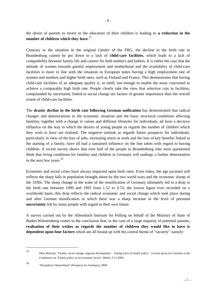the desire of parents to invest in the education of their children is leading to **a reduction in the number of children which they have.**<sup>15</sup>

Contrary to the situation in the original *Länder* of the FRG, the decline in the birth rate in Brandenburg cannot be put down to a lack of **child-care facilities**, which leads to a lack of compatibility between family life and careers for both mothers and fathers. It is rather the case that the attitude of women towards gainful employment and motherhood and the availability of child-care facilities is more in line with the situation in European states having a high employment rate of women and mothers and higher birth rates, such as Finland and France. This demonstrates that having child-care facilities of an adequate quality is, in itself, not enough to enable the areas concerned to achieve a comparably high birth rate. People clearly take the view that selective cuts in facilities, compounded by uncertainty linked to social change are factors of greater importance than the overall extent of child-care facilities.

The **drastic decline in the birth rate following German unification** has demonstrated that radical changes and deteriorations in the economic situation and the basic structural conditions affecting families, together with a change in values and different lifestyles for individuals, all have a decisive influence on the way in which the desires of young people as regards the number of children which they wish to have are realised. The negative outlook as regards future prospects for individuals, particularly in view of the loss of jobs, increasing stress at work and the loss of key benefits linked to the starting of a family, have all had a sustained influence on the line taken with regard to having children. A recent survey shows that over half of the people in Brandenburg who were questioned think that living conditions for families and children in Germany will undergo a further deterioration in the next few years. $16$ 

Economic and social crises have always impacted upon birth rates. Even today, the age pyramid still reflects the sharp falls in population brought about by the two world wars and the economic slump of the 1930s. The sharp change in the wake of the reunification of Germany ultimately led to a drop in the birth rate between 1990 and 1993 from 1.52 to 0.74, the lowest figure ever recorded on a worldwide basis; this drop reflects the radical economic and social change which took place during and after German reunification in which there was a sharp increase in the level of personal **uncertainty** felt by many people with regard to their own future.

A survey carried out by the Allensbach Institute for Polling on behalf of the Ministry of State of Baden-Württemberg comes to the conclusion that, in the case of a large majority of potential parents, **realisation of their wishes as regards the number of children they would like to have is dependent upon four factors** which are all bound up with the central theme of "security" namely:

<sup>15</sup> Hens Bertram, "Family, social change, regional development –Taking stock of family policy", Lecture given (in German) at the Conference on "Family policy as an economic factor", Berlin, 5.11.2004.

<sup>16</sup> "Perspektive Deutschland" (Prospects for Germany), 2004.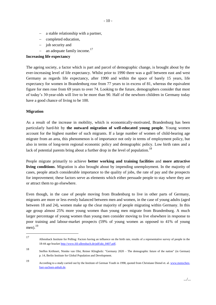- a stable relationship with a partner,
- completed education,
- $-$  job security and
- an adequate family income.<sup>17</sup>

# **Increasing life expectancy**

The ageing society, a factor which is part and parcel of demographic change, is brought about by the ever-increasing level of life expectancy. Whilst prior to 1990 there was a gulf between east and west Germany as regards life expectancy, after 1990 and within the space of barely 15 years, life expectancy for women in Brandenburg rose from 77 years to in excess of 81, whereas the equivalent figure for men rose from 69 years to over 74. Looking to the future, demographers consider that most of today's 30-year-olds will live to be more than 90. Half of the newborn children in Germany today have a good chance of living to be 100.

## **Migration**

As a result of the increase in mobility, which is economically-motivated, Brandenburg has been particularly hard-hit by **the outward migration of well-educated young people**. Young women account for the highest number of such migrants. If a large number of women of child-bearing age migrate from an area, this phenomenon is of importance not only in terms of employment policy, but also in terms of long-term regional economic policy and demographic policy. Low birth rates and a lack of potential parents bring about a further drop in the level of population.<sup>18</sup>

People migrate primarily to achieve **better working and training facilities** and **more attractive living conditions**. Migration is also brought about by impending unemployment. In the majority of cases, people attach considerable importance to the quality of jobs, the rate of pay and the prospects for improvement; these factors serve as elements which either persuade people to stay where they are or attract them to go elsewhere.

Even though, in the case of people moving from Bradenburg to live in other parts of Germany, migrants are more or less evenly balanced between men and women, in the case of young adults (aged between 18 and 24), women make up the clear majority of people migrating within Germany. In this age group almost 25% more young women than young men migrate from Brandenburg. A much larger percentage of young women than young men consider moving to live elsewhere in response to poor training and labour-market prospects (59% of young women as opposed to 41% of young men). $^{19}$ 

<sup>17</sup> Allensback Institute for Polling: Factors having an influence on the birth rate, results of a representative survey of people in the 18-44 age bracket http://www.ifd-allensbach.de/pdf/akt\_0407.pdf.

<sup>18</sup> Steffen Kröhnert, Nienke van Olst, Reiner Klingholz: "Germany 2020 –The demographic future of the nation" (in German) p. 14, Berlin Institute for Global Population and Development.

<sup>19</sup> According to a study carried out by the Institute of German Youth in 1998, quoted from Christiane Dienel et. al. www.menschenfuer-sachsen-anhalt.de.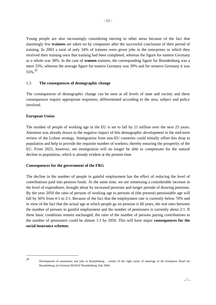Young people are also increasingly considering moving to other areas because of the fact that alarmingly few **trainees** are taken on by companies after the successful conclusion of their period of training. In 2003 a total of only 34% of trainees were given jobs in the enterprises in which they received their training once that training had been completed, whereas the figure for eastern Germany as a whole was 38%. In the case of **women** trainees, the corresponding figure for Brandenburg was a mere 33%, whereas the average figure for eastern Germany was 39% and for western Germany it was 55%.<sup>20</sup>

## 1.3 **The consequences of demographic change**

The consequences of demographic change can be seen at all levels of state and society and these consequences require appropriate responses, differentiated according to the area, subject and policy involved.

## **European Union**

The number of people of working age in the EU is set to fall by 21 million over the next 25 years. Attention was already drawn to the negative impact of this demographic development in the mid-term review of the Lisbon strategy. Immigration from non-EU countries could initially offset this drop in population and help to provide the requisite number of workers, thereby ensuring the prosperity of the EU. From 2025, however, net immigration will no longer be able to compensate for the natural decline in population, which is already evident at the present time.

#### **Consequences for the government of the FRG**

The decline in the number of people in gainful employment has the effect of reducing the level of contributions paid into pension funds. At the same time, we are witnessing a considerable increase in the level of expenditure, brought about by increased pensions and longer periods of drawing pensions. By the year 2050 the ratio of persons of working age to persons of (the present) pensionable age will fall by 50% from 4:1 to 2:1. Because of the fact that the employment rate is currently below 70% and in view of the fact that the actual age at which people go on pension is 60 years, the real ratio between the number of persons in gainful employment and the number of pensioners is currently about 2:1. If these basic conditions remain unchanged, the ratio of the number of persons paying contributions to the number of pensioners could be almost 1:1 by 2050. This will have major **consequences for the social insurance schemes**.

<sup>20</sup>

Development of enterprises and jobs in Brandenburg – results of the eight series of meetings of the Enterprise Panel for Brandenburg, (in German) MASGF Brandenburg, July 2004.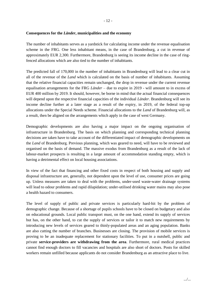#### **Consequences for the** *Länder***, municipalities and the economy**

The number of inhabitants serves as a yardstick for calculating income under the revenue equalisation scheme in the FRG. One less inhabitant means, in the case of Brandenburg, a cut in revenue of approximately EUR 2,300. Furthermore, Brandenburg is seeing its income decline in the case of ringfenced allocations which are also tied to the number of inhabitants.

The predicted fall of 170,000 in the number of inhabitants in Brandenburg will lead to a clear cut in all of the revenue of the *Land* which is calculated on the basis of number of inhabitants. Assuming that the relative financial capacities remain unchanged, the drop in revenue under the current revenue equalisation arrangements for the FRG *Länder* – due to expire in 2019 - will amount to in excess of EUR 400 million by 2019. It should, however, be borne in mind that the actual financial consequences will depend upon the respective financial capacities of the individual *Länder*. Brandenburg will see its income decline further at a later stage as a result of the expiry, in 2019, of the federal top-up allocations under the Special Needs scheme. Financial allocations to the *Land* of Brandenburg will, as a result, then be aligned on the arrangements which apply in the case of west Germany.

Demographic developments are also having a major impact on the ongoing organisation of infrastructure in Brandenburg. The basis on which planning and corresponding technical planning decisions are taken have to take account of the differentiated impact of demographic developments on the *Land* of Brandenburg. Previous planning, which was geared to need, will have to be reviewed and organised on the basis of demand. The massive exodus from Brandenburg as a result of the lack of labour-market prospects is resulting in a large amount of accommodation standing empty, which is having a detrimental effect on local housing associations.

In view of the fact that financing and other fixed costs in respect of both housing and supply and disposal infrastructure are, generally, not dependent upon the level of use, consumer prices are going up. Unless measures are taken to deal with the problems, under-used waste-water drainage systems will lead to odour problems and rapid dilapidation; under-utilised drinking water mains may also pose a health hazard to consumers.

The level of supply of public and private services is particularly hard-hit by the problem of demographic change. Because of a shortage of pupils schools have to be closed on budgetary and also on educational grounds. Local public transport must, on the one hand, extend its supply of services but has, on the other hand, to cut the supply of services or tailor it to match new requirements by introducing new levels of services geared to thinly-populated areas and an aging population. Banks are also cutting the number of branches. Businesses are closing. The provision of mobile services is proving to be an inadequate replacement for stationary facilities. To put in a nutshell, public and private **service-providers are withdrawing from the area**. Furthermore, rural medical practices cannot find enough doctors to fill vacancies and hospitals are also short of doctors. Posts for skilled workers remain unfilled because applicants do not consider Brandenburg as an attractive place to live.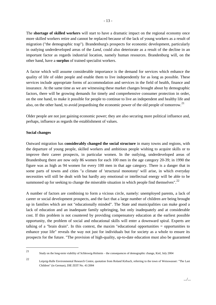The **shortage of skilled workers** will start to have a dramatic impact on the regional economy once more skilled workers retire and cannot be replaced because of the lack of young workers as a result of migration ("the demographic trap"). Brandenburg's prospects for economic development, particularly in outlying underdeveloped areas of the *Land*, could also deteriorate as a result of the decline in an important factor as regards industrial location, namely human resources. Brandenburg will, on the other hand, have a **surplus** of trained specialist workers.

A factor which will assume considerable importance is the demand for services which enhance the quality of life of older people and enable them to live independently for as long as possible. These services include appropriate forms of accommodation and services in the field of health, finance and insurance. At the same time as we are witnessing these market changes brought about by demographic factors, there will be growing demands for timely and comprehensive consumer protection in order, on the one hand, to make it possible for people to continue to live an independent and healthy life and also, on the other hand, to avoid jeopardising the economic power of the old people of tomorrow.<sup>21</sup>

Older people are not just gaining economic power; they are also securing more political influence and, perhaps, influence as regards the establishment of values.

#### **Social changes**

Outward migration has **considerably changed the social structure** in many towns and regions, with the departure of young people, skilled workers and ambitious people wishing to acquire skills or to improve their career prospects, in particular women. In the outlying, underdeveloped areas of Brandenburg there are now only 86 women for each 100 men in the age category 20-39; in 1990 the figure was as high as 94 women for every 100 men in that age category. There is a danger that in some parts of towns and cities "a climate of 'structural monotony' will arise, in which everyday necessities will still be dealt with but hardly any emotional or intellectual energy will be able to be summoned up for seeking to change the miserable situation in which people find themselves".<sup>22</sup>

A number of factors are combining to form a vicious circle, namely: unemployed parents, a lack of career or social development prospects, and the fact that a large number of children are being brought up in families which are not "educationally minded". The State and municipalities can make good a lack of education and an inadequate family upbringing, but only inadequately and at considerable cost. If this problem is not countered by providing compensatory education at the earliest possible opportunity, the problem of social and educational skills will enter a downward spiral. Experts are talking of a "brain drain". In this context, the maxim "educational opportunities = opportunities to enhance your life" reveals the way not just for individuals but for society as a whole to ensure its prospects for the future. "The provision of high-quality, up-to-date education must also be guaranteed

<sup>21</sup> Study on the long-term viability of Schleswig-Holstein – the consequences of demographic change, Kiel, July 2004

<sup>22</sup> Leipzig-Halle Environmental Research Centre, quotation from Roland Kirbach, referring to the town of Weisswasser: "The Last Children" (in German), DIE ZEIT No. 41/2004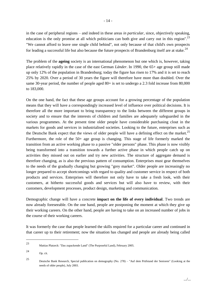in the case of peripheral regions – and indeed in these areas *in particular*, since, objectively speaking, education is the only promise at all which politicians can both give and carry out in this region".  $^{23}$ "We cannot afford to leave one single child behind", not only because of that child's own prospects for leading a successful life but also because the future prospects of Brandenburg itself are at stake.<sup>24</sup>

The problem of the **ageing** society is an international phenomenon but one which is, however, taking place relatively rapidly in the case of the east German *Länder*. In 1990, the 65+ age group still made up only 12% of the population in Brandenburg; today the figure has risen to 17% and it is set to reach 25% by 2020. Over a period of 30 years the figure will therefore have more than doubled. Over the same 30-year period, the number of people aged  $80+$  is set to undergo a 2.3 fold increase from 80,000 to 183,000.

On the one hand, the fact that these age groups account for a growing percentage of the population means that they will have a correspondingly increased level of influence over political decisions. It is therefore all the more important to bring transparency to the links between the different groups in society and to ensure that the interests of children and families are adequately safeguarded in the various programmes. At the present time older people have considerable purchasing clout in the markets for goods and services in industrialised societies. Looking to the future, enterprises such as the Deutsche Bank expect that the views of older people will have a defining effect on the market.<sup>25</sup> Furthermore, the role of the 50+ age group is changing. This stage of life formerly marked the transition from an active working phase to a passive "older persons" phase. This phase is now visibly being transformed into a transition towards a further active phase in which people catch up on activities they missed out on earlier and try new activities. The structure of aggregate demand is therefore changing, as is also the previous pattern of consumption. Enterprises must gear themselves to the needs of the gradually changing but growing "grey market". Older people are increasingly no longer prepared to accept shortcomings with regard to quality and customer service in respect of both products and services. Enterprises will therefore not only have to take a fresh look, with their customers, at hitherto successful goods and services but will also have to review, with their customers, development processes, product design, marketing and communication.

Demographic change will have a concrete **impact on the life of every individual**. Two trends are now already foreseeable. On the one hand, people are postponing the moment at which they give up their working careers. On the other hand, people are having to take on an increased number of jobs in the course of their working careers.

It was formerly the case that people learned the skills required for a particular career and continued in that career up to their retirement; now the situation has changed and people are already being called

<sup>23</sup> Mattias Platzeck: "Das zupackende Land" (The Purposeful Land), February 2005.

<sup>24</sup> Op. cit.

<sup>25</sup> Deutsche Bank Research, Special publication on demography (No. 278) –"Auf dem Prüfstand der Senioren" (Looking at the needs of older people), July 2003.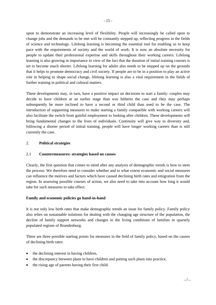upon to demonstrate an increasing level of flexibility. People will increasingly be called upon to change jobs and the demands to be met will be constantly stepped up, reflecting progress in the fields of science and technology. Lifelong learning is becoming the essential tool for enabling us to keep pace with the requirements of society and the world of work. It is now an absolute necessity for people to update their professional expertise and skills throughout their working careers. Lifelong learning is also growing in importance in view of the fact that the duration of initial training courses is set to become much shorter. Lifelong learning for adults also needs to be stepped up on the grounds that it helps to promote democracy and civil society. If people are to be in a position to play an active role in helping to shape social change, lifelong learning is also a vital requirement in the fields of further training in political and cultural matters.

These developments may, in turn, have a positive impact on decisions to start a family: couples may decide to have children at an earlier stage than was hitherto the case and they may perhaps subsequently be more inclined to have a second or third child than used to be the case. The introduction of supporting measures to make starting a family compatible with working careers will also facilitate the switch from gainful employment to looking after children. These developments will bring fundamental changes to the lives of individuals. Continuity will give way to diversity and, following a shorter period of initial training, people will have longer working careers than is still currently the case.

# 2. **Political strategies**

#### 2.1 **Countermeasures: strategies based on causes**

Clearly, the first question that comes to mind after any analysis of demographic trends is how to stem the process. We therefore need to consider whether and to what extent economic and social measures can influence the motives and factors which have caused declining birth rates and emigration from the region. In assessing possible courses of action, we also need to take into account how long it would take for such measures to take effect.

#### **Family and economic policies go hand-in-hand**

It is not only low birth rates that make demographic trends an issue for family policy. Family policy also relies on sustainable solutions for dealing with the changing age structure of the population, the decline of family support networks and changes in the living conditions of families in sparsely populated regions of Brandenburg.

There are three possible starting points for measures in the field of family policy, based on the causes of declining birth rates:

- the declining interest in having children,
- the discrepancy between plans to have children and putting such plans into practice,
- the rising age of parents having their first child.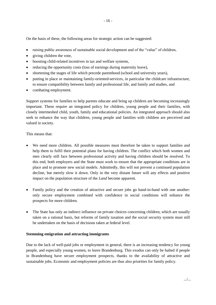On the basis of these, the following areas for strategic action can be suggested:

- raising public awareness of sustainable social development and of the "value" of children,
- $\bullet$  giving children the vote,
- boosting child-related incentives in tax and welfare systems,
- reducing the opportunity costs (loss of earnings during maternity leave),
- shortening the stages of life which precede parenthood (school and university years),
- putting in place or maintaining family-oriented-services, in particular the childcare infrastructure, to ensure compatibility between family and professional life, and family and studies, and
- combating employment.

Support systems for families to help parents educate and bring up children are becoming increasingly important. These require an integrated policy for children, young people and their families, with closely intermeshed child, youth, family and educational policies. An integrated approach should also seek to enhance the way that children, young people and families with children are perceived and valued in society.

## This means that:

- We need more children. All possible measures must therefore be taken to support families and help them to fulfil their potential plans for having children. The conflict which both women and men clearly still face between professional activity and having children should be resolved. To this end, both employers and the State must work to ensure that the appropriate conditions are in place and to promote new social models. Admittedly, this will not prevent a continued population decline, but merely slow it down. Only in the very distant future will any effects and positive impact on the population structure of the *Land* become apparent.
- Family policy and the creation of attractive and secure jobs go hand-in-hand with one another: only secure employment combined with confidence in social conditions will enhance the prospects for more children.
- The State has only an indirect influence on private choices concerning children, which are usually taken on a rational basis, but reforms of family taxation and the social security system must still be undertaken on the basis of decisions taken at federal level.

#### **Stemming emigration and attracting immigrants**

Due to the lack of well-paid jobs or employment in general, there is an increasing tendency for young people, and especially young women, to leave Brandenburg. This exodus can only be halted if people in Brandenburg have secure employment prospects, thanks to the availability of attractive and sustainable jobs. Economic and employment policies are thus also priorities for family policy.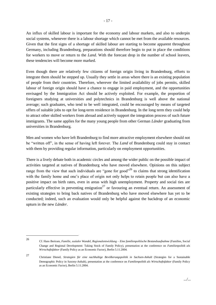An influx of skilled labour is important for the economy and labour markets, and also to underpin social systems, whenever there is a labour shortage which cannot be met from the available resources. Given that the first signs of a shortage of skilled labour are starting to become apparent throughout Germany, including Brandenburg, preparations should therefore begin to put in place the conditions for workers to move or return to the *Land*. With the forecast drop in the number of school leavers, these tendencies will become more marked.

Even though there are relatively few citizens of foreign origin living in Brandenburg, efforts to integrate them should be stepped up. Usually they settle in areas where there is an existing population of people from their countries. Therefore, wherever the limited availability of jobs permits, skilled labour of foreign origin should have a chance to engage in paid employment, and the opportunities envisaged by the Immigration Act should be actively exploited. For example, the proportion of foreigners studying at universities and polytechnics in Brandenburg is well above the national average; such graduates, who tend to be well integrated, could be encouraged by means of targeted offers of suitable jobs to opt for long-term residence in Brandenburg. In the long term they could help to attract other skilled workers from abroad and actively support the integration process of such future immigrants. The same applies for the many young people from other German *Länder* graduating from universities in Brandenburg.

Men and women who have left Brandenburg to find more attractive employment elsewhere should not be "written off", in the sense of having left forever. The *Land* of Brandenburg could stay in contact with them by providing regular information, particularly on employment opportunities.

There is a lively debate both in academic circles and among the wider public on the possible impact of activities targeted at natives of Brandenburg who have moved elsewhere. Opinions on this subject range from the view that such individuals are "gone for good"<sup>26</sup> to claims that strong identification with the family home and one's place of origin not only helps to retain people but can also have a positive impact on birth rates, even in areas with high unemployment. Property and social ties are particularly effective in preventing emigration<sup>27</sup> or favouring an eventual return. An assessment of existing strategies to bring back natives of Brandenburg who have moved elsewhere has yet to be conducted; indeed, such an evaluation would only be helpful against the backdrop of an economic upturn in the new *Länder*.

26

27

Cf. Hans Bertram, *Familie, sozialer Wandel, Regionalentwicklung –Eine familienpolitische Bestandsaufnahme* (Families, Social Change and Regional Development: Taking Stock of Family Policy), presentation at the conference on *Familienpolitik als Wirtschaftsfaktor* (Family Policy as an Economic Factor), Berlin 5.11.2004.

Christiane Dienel, *Strategien für eine nachhaltige Bevölkerungspolitik in Sachsen-Anhalt* (Strategies for a Sustainable Demographic Policy in Saxony-Anhalt), presentation at the conference on *Familienpolitik als Wirtschaftsfaktor* (Family Policy as an Economic Factor), Berlin 5.11.2004.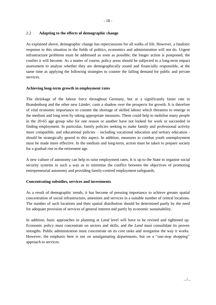## 2.2 **Adapting to the effects of demographic change**

As explained above, demographic change has repercussions for all walks of life. However, a fatalistic response to this situation in the fields of politics, economics and administration will not do. Urgent infrastructure problems must be addressed as soon as possible; the longer action is postponed, the costlier it will become. As a matter of course, policy areas should be subjected to a long-term impact assessment to analyse whether they are demographically sound and financially responsible, at the same time as applying the following strategies to counter the falling demand for public and private services.

## **Achieving long-term growth in employment rates**

The shrinkage of the labour force throughout Germany, but at a significantly faster rate in Brandenburg and the other new *Länder*, casts a shadow over the prospects for growth. It is therefore of vital economic importance to counter the shortage of skilled labour which threatens to emerge in the medium and long term by taking appropriate measures. These could help to mobilise many people in the 20-65 age group who for one reason or another have not looked for work or succeeded in finding employment. In particular, family policies seeking to make family and professional activity more compatible, and educational policies – including vocational education and tertiary education should be strategically geared to this aspect. In addition, measures to combat youth unemployment must be made more effective. In the medium and long-term, action must be taken to prepare society for a gradual rise in the retirement age.

A new culture of autonomy can help to raise employment rates. It is up to the State to organise social security systems in such a way as to minimise the conflict between the objectives of promoting entrepreneurial autonomy and providing family-centred employment safeguards.

#### **Concentrating subsidies, services and investments**

As a result of demographic trends, it has become of pressing importance to achieve greater spatial concentration of social infrastructure, amenities and services in a suitable number of central locations. The number of such locations and their spatial distribution should be determined partly by the need for adequate provision of services of general interest and partly by economic sustainability.

In addition, basic approaches to planning at *Land* level will have to be revised and tightened up. Economic policy must concentrate on sectors and skills, and the *Land* must consolidate its proven strengths. Public administration must concentrate on its core tasks and reorganise the way it works. However, the emphasis here is not on amalgamating departments, but on a "one-stop shopping" approach to services.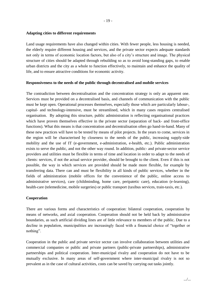#### **Adapting cities to different requirements**

Land usage requirements have also changed within cities. With fewer people, less housing is needed, the elderly require different housing and services, and the private sector expects adequate standards not only in terms of economic location factors, but also of a city's structure and image. The physical structure of cities should be adapted through rebuilding so as to avoid long-standing gaps, to enable urban districts and the city as a whole to function effectively, to maintain and enhance the quality of life, and to ensure attractive conditions for economic activity.

## **Responsiveness to the needs of the public through decentralised and mobile services**

The contradiction between decentralisation and the concentration strategy is only an apparent one. Services must be provided on a decentralised basis, and channels of communication with the public must be kept open. Operational processes themselves, especially those which are particularly labour-, capital- and technology-intensive, must be streamlined, which in many cases requires centralised organisation. By adopting this structure, public administration is reflecting organisational practices which have proven themselves effective in the private sector (separation of back- and front-office functions). What this means is that concentration and decentralisation often go hand-in-hand. Many of these new practices will have to be tested by means of pilot projects. In the years to come, services in the region will be characterised by closeness to the needs of the public, increasing supply-side mobility and the use of IT (e-government, e-administration, e-health, etc.). Public administration exists to serve the public, and not the other way round. In addition, public- and private-sector service providers and utilities must be flexible in terms of time and location in order to adapt to the needs of clients: services, if not the actual service provider, should be brought to the client. Even if this is not possible, the way in which services are provided should be made more flexible, for example by transferring data. There can and must be flexibility in all kinds of public services, whether in the fields of administration (mobile offices for the convenience of the public, online access to administrative services), care (childminding, home care, peripatetic care), education (e-learning), health-care (telemedicine, mobile surgeries) or public transport (taxibus services, train-taxis, etc.).

#### **Cooperation**

There are various forms and characteristics of cooperation: bilateral cooperation, cooperation by means of networks, and axial cooperation. Cooperation should not be held back by administrative boundaries, as such artificial dividing lines are of little relevance to members of the public. Due to a decline in population, municipalities are increasingly faced with a financial choice of "together or nothing".

Cooperation in the public and private service sector can involve collaboration between utilities and commercial companies or public and private partners (public-private partnerships), administrative partnerships and political cooperation. Inter-municipal rivalry and cooperation do not have to be mutually exclusive. In many areas of self-government where inter-municipal rivalry is not so prevalent as in the case of cultural activities, costs can be saved by carrying out tasks jointly.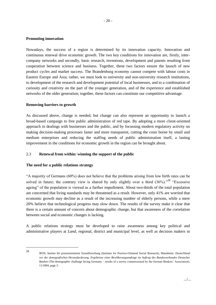#### **Promoting innovation**

Nowadays, the success of a region is determined by its innovation capacity. Innovation and continuous renewal drive economic growth. The two key conditions for innovation are, firstly, intercompany networks and secondly, basic research, inventions, development and patents resulting from cooperation between science and business. Together, these two factors ensure the launch of new product cycles and market success. The Brandenburg economy cannot compete with labour costs in Eastern Europe and Asia; rather, we must look to university and non-university research institutions, to development of the research and development potential of local businesses, and to a combination of curiosity and creativity on the part of the younger generation, and of the experience and established networks of the older generation; together, these factors can constitute our competitive advantage.

#### **Removing barriers to growth**

As discussed above, change is needed, but change can also represent an opportunity to launch a broad-based campaign to free public administration of red tape. By adopting a more client-oriented approach in dealings with businesses and the public, and by focussing modern regulatory activity on making decision-making processes faster and more transparent, cutting the costs borne by small and medium enterprises and reducing the staffing needs of public administration itself, a lasting improvement in the conditions for economic growth in the region can be brought about.

## 2.3 **Renewal from within: winning the support of the public**

#### **The need for a public relations strategy**

"A majority of Germans  $(60\%)$  does not believe that the problems arising from low birth rates can be solved in future; the contrary view is shared by only slightly over a third  $(36\%)$ ."<sup>28</sup> "Excessive ageing" of the population is viewed as a further impediment. About two-thirds of the total population are concerned that living standards may be threatened as a result. However, only 41% are worried that economic growth may decline as a result of the increasing number of elderly persons, while a mere 20% believe that technological progress may slow down. The results of the survey make it clear that there is a certain amount of concern about demographic change, but that awareness of the correlation between social and economic changes is lacking.

A public relations strategy must be developed to raise awareness among key political and administrative players at *Land*, regional, district and municipal level, as well as decision makers in

28

IPOS, Institut für praxisorientierte Sozialforschung (Institute for Practice-Oriented Social Research), Mannheim: *Deutschland vor der demografischen Herausforderung, Ergebnisse einer Bevölkerungsumfrage im Auftrag des Bundesverbandes Deutscher Banken* (The demographic challenge facing Germany – results of a survey commissioned by the German Bankers' Association), 11/2004, page 3.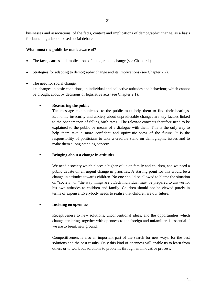businesses and associations, of the facts, context and implications of demographic change, as a basis for launching a broad-based social debate.

## **What must the public be made aware of?**

- The facts, causes and implications of demographic change (see Chapter 1).
- Strategies for adapting to demographic change and its implications (see Chapter 2.2).
- The need for social change,

i.e. changes in basic conditions, in individual and collective attitudes and behaviour, which cannot be brought about by decisions or legislative acts (see Chapter 2.1).

## **Reassuring the public**

The message communicated to the public must help them to find their bearings. Economic insecurity and anxiety about unpredictable changes are key factors linked to the phenomenon of falling birth rates. The relevant concepts therefore need to be explained to the public by means of a dialogue with them. This is the only way to help them take a more confident and optimistic view of the future. It is the responsibility of politicians to take a credible stand on demographic issues and to make them a long-standing concern.

**Bringing about a change in attitudes**

We need a society which places a higher value on family and children, and we need a public debate on an urgent change in priorities. A starting point for this would be a change in attitudes towards children. No one should be allowed to blame the situation on "society" or "the way things are". Each individual must be prepared to answer for his own attitudes to children and family. Children should not be viewed purely in terms of expense. Everybody needs to realise that children are our future.

#### **Insisting on openness**

Receptiveness to new solutions, unconventional ideas, and the opportunities which change can bring, together with openness to the foreign and unfamiliar, is essential if we are to break new ground.

Competitiveness is also an important part of the search for new ways, for the best solutions and the best results. Only this kind of openness will enable us to learn from others or to work out solutions to problems through an innovative process.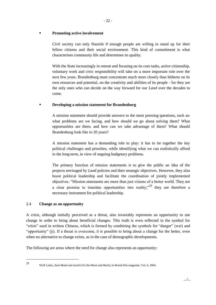#### **Promoting active involvement**

Civil society can only flourish if enough people are willing to stand up for their fellow citizens and their social environment. This kind of commitment is what characterises community life and determines its quality.

With the State increasingly in retreat and focusing on its core tasks, active citizenship, voluntary work and civic responsibility will take on a more important role over the next few years. Brandenburg must concentrate much more closely than hitherto on its own resources and potential, on the creativity and abilities of its people - for they are the only ones who can decide on the way forward for our *Land* over the decades to come.

## **Developing a mission statement for Brandenburg**

A mission statement should provide answers to the most pressing questions, such as: what problems are we facing, and how should we go about solving them? What opportunities are there, and how can we take advantage of them? What should Brandenburg look like in 20 years?

A mission statement has a demanding role to play: it has to tie together the key political challenges and priorities, while identifying what we can realistically afford in the long-term, in view of ongoing budgetary problems.

The primary function of mission statements is to give the public an idea of the projects envisaged by *Land* policies and their strategic objectives. However, they also boost political leadership and facilitate the coordination of jointly implemented objectives. "Mission statements are more than just visions of a better world. They are a clear promise to translate opportunities into reality; <sup>29</sup> they are therefore a necessary instrument for political leadership.

#### 2.4 **Change as an opportunity**

A crisis, although initially perceived as a threat, also invariably represents an opportunity to use change in order to bring about beneficial changes. This truth is even reflected in the symbol for "crisis" used in written Chinese, which is formed by combining the symbols for "danger" (wei) and "opportunity" (ji). If a threat is overcome, it is possible to bring about a change for the better, even when no alternative to change exists, as in the case of demographic developments.

The following are areas where the need for change also represents an opportunity:

<sup>29</sup> Wolf Lotter, *Zum Mond und zurück* (To the Moon and Back), in *Brand Eins* magazine, Vol. 6, 2004.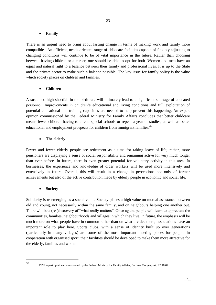## **Family**

There is an urgent need to bring about lasting change in terms of making work and family more compatible. An efficient, needs-oriented range of childcare facilities capable of flexibly adjusting to changing conditions will continue to be of vital importance in the future. Rather than choosing between having children or a career, one should be able to opt for both. Women and men have an equal and natural right to a balance between their family and professional lives. It is up to the State and the private sector to make such a balance possible. The key issue for family policy is the value which society places on children and families.

# **Children**

A sustained high shortfall in the birth rate will ultimately lead to a significant shortage of educated personnel. Improvements in children's educational and living conditions and full exploitation of potential educational and training capacities are needed to help prevent this happening. An expert opinion commissioned by the Federal Ministry for Family Affairs concludes that better childcare means fewer children having to attend special schools or repeat a year of studies, as well as better educational and employment prospects for children from immigrant families.<sup>30</sup>

# **The elderly**

Fewer and fewer elderly people see retirement as a time for taking leave of life; rather, more pensioners are displaying a sense of social responsibility and remaining active for very much longer than ever before. In future, there is even greater potential for voluntary activity in this area. In businesses, the experience and knowledge of older workers will be used more intensively and extensively in future. Overall, this will result in a change in perceptions not only of former achievements but also of the active contribution made by elderly people in economic and social life.

# **Society**

Solidarity is re-emerging as a social value. Society places a high value on mutual assistance between old and young, not necessarily within the same family, and on neighbours helping one another out. There will be a (re-)discovery of "what really matters". Once again, people will learn to appreciate the communities, families, neighbourhoods and villages in which they live. In future, the emphasis will be much more on what people have in common rather than on what divides them; associations have an important role to play here. Sports clubs, with a sense of identity built up over generations (particularly in many villages) are some of the most important meeting places for people. In cooperation with organised sport, their facilities should be developed to make them more attractive for the elderly, families and women.

<sup>30</sup>

DIW expert opinion commissioned by the Federal Ministry for Family Affairs, Berliner Morgenpost, 27.10.04.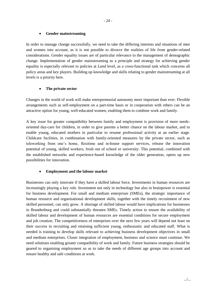# **Gender mainstreaming**

In order to manage change successfully, we need to take the differing interests and situations of men and women into account, as it is not possible to divorce the realities of life from gender-related considerations. Gender equality issues are of particular relevance to the management of demographic change. Implementation of gender mainstreaming as a principle and strategy for achieving gender equality is especially relevant to policies at *Land* level, as a cross-functional task which concerns all policy areas and key players. Building up knowledge and skills relating to gender mainstreaming at all levels is a priority here.

# **The private sector**

Changes in the world of work will make entrepreneurial autonomy more important than ever. Flexible arrangements such as self-employment on a part-time basis or in cooperation with others can be an attractive option for young, well-educated women, enabling them to combine work and family.

A key issue for greater compatibility between family and employment is provision of more needsoriented day-care for children, in order to give parents a better chance on the labour market, and to enable young, educated mothers in particular to resume professional activity at an earlier stage. Childcare facilities, in combination with family-oriented measures by the private sector, such as teleworking from one's home, flexitime and in-house support services, release the innovation potential of young, skilled workers, fresh out of school or university. This potential, combined with the established networks and experience-based knowledge of the older generation, opens up new possibilities for innovation.

# **Employment and the labour market**

Businesses can only innovate if they have a skilled labour force. Investments in human resources are increasingly playing a key role. Investment not only in technology but also in brainpower is essential for business development. For small and medium enterprises (SMEs), the strategic importance of human resource and organisational development skills, together with the timely recruitment of new skilled personnel, can only grow. A shortage of skilled labour would have implications for businesses in Brandenburg and could substantially threaten SMEs. Timely action to ensure the availability of skilled labour and development of human resources are essential conditions for secure employment and job creation. The competitiveness of enterprises over the next few years will depend not least on their success in recruiting and retaining sufficient young, enthusiastic and educated staff. What is needed is training to develop skills relevant to achieving business development objectives in small and medium enterprises. Closer integration of employment, business and science must continue. We need solutions enabling greater compatibility of work and family. Future business strategies should be geared to organising employment so as to take the needs of different age groups into account and ensure healthy and safe conditions at work.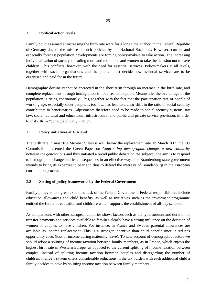# 3. **Political action levels**

Family policies aimed at increasing the birth rate were for a long time a taboo in the Federal Republic of Germany due to the misuse of such policies by the National Socialists. However, current and especially forecast population developments are forcing policy-makers to take action. The increasing individualisation of society is leading more and more men and women to take the decision not to have children. This conflicts, however, with the need for essential services. Policy-makers at all levels, together with social organisations and the public, must decide how essential services are to be organised and paid for in the future.

Demographic decline cannot be corrected in the short term through an increase in the birth rate, and complete replacement through immigration is not a realistic option. Meanwhile, the overall age of the population is rising continuously. This, together with the fact that the participation rate of people of working age, especially older people, is too low, has lead to a clear shift in the ratio of social security contributors to beneficiaries. Adjustments therefore need to be made to social security systems, tax law, social, cultural and educational infrastructure, and public and private service provision, in order to make them "demographically viable".

# 3.1 **Policy initiatives at EU-level**

The birth rate in most EU Member States is well below the replacement rate. In March 2005 the EU Commission presented the Green Paper on *Confronting demographic change, a new solidarity between the generations* and thus initiated a broad public debate on the subject. The aim is to respond to demographic change and its consequences in an effective way. The Brandenburg state government intends to bring its expertise to bear and thus to defend the interests of Brandenburg in the European consultation process.

# 3.2 **Setting of policy frameworks by the Federal Government**

Family policy is to a great extent the task of the Federal Government. Federal responsibilities include education allowances and child benefits, as well as initiatives such as the investment programme entitled the future of education and childcare which supports the establishment of all-day schools.

As comparisons with other European countries show, factors such as the type, amount and duration of transfer payments and services available to families clearly have a strong influence on the decision of women or couples to have children. For instance, in France and Sweden parental allowances are available as income replacement. This is a stronger incentive than child benefit since it reduces opportunity costs (loss of income during maternity leave). To take account of demographic factors we should adopt a splitting of income taxation between family members, as in France, which enjoys the highest birth rate in Western Europe, as opposed to the current splitting of income taxation between couples. Instead of splitting income taxation between couples and disregarding the number of children, France's system offers considerable reductions in the tax burden with each additional child a family decides to have by splitting income taxation between family members.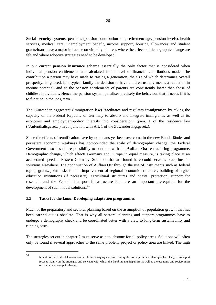**Social security systems**, pensions (pension contribution rate, retirement age, pension levels), health services, medical care, unemployment benefit, income support, housing allowances and student grants/loans have a major influence on virtually all areas where the effects of demographic change are felt and where adoptive strategies need to be developed.

In our current **pension insurance scheme** essentially the only factor that is considered when individual pension entitlements are calculated is the level of financial contributions made. The contribution a person may have made to raising a generation, the size of which determines overall prosperity, is ignored. In a typical family the decision to have children usually means a reduction in income potential, and so the pension entitlements of parents are consistently lower than those of childless individuals. Hence the pension system penalises precisely the behaviour that it needs if it is to function in the long term.

The "Zuwanderungsgesetz" (immigration law) "facilitates and regulates **immigration** by taking the capacity of the Federal Republic of Germany to absorb and integrate immigrants, as well as its economic and employment-policy interests into consideration" (para. 1 of the residence law ("Aufenthaltsgesetz") in conjunction with Art. 1 of the Zuwanderungsgesetz).

Since the effects of reunification have by no means yet been overcome in the new Bundesländer and persistent economic weakness has compounded the scale of demographic change, the Federal Government also has the responsibility to continue with the **Aufbau Ost** restructuring programme. Demographic change, which affects Germany and Europe in equal measure, is taking place at an accelerated speed in Eastern Germany. Solutions that are found here could serve as blueprints for solutions elsewhere. The continuation of Aufbau Ost through the use of instruments such as federal top-up grants, joint tasks for the improvement of regional economic structures, building of higher education institutions (if necessary), agricultural structures and coastal protection, support for research, and the Federal Transport Infrastructure Plan are an important prerequisite for the development of such model solutions.<sup>31</sup>

# 3.3 **Tasks for the** *Land***: Developing adaptation programmes**

Much of the preparatory and sectoral planning based on the assumption of population growth that has been carried out is obsolete. That is why all sectoral planning and support programmes have to undergo a demography check and be coordinated better with a view to long-term sustainability and running costs.

The strategies set out in chapter 2 must serve as a touchstone for all policy areas. Solutions will often only be found if several approaches to the same problem, project or policy area are linked. The high

<sup>31</sup>

In spite of the Federal Government's role in managing and overcoming the consequences of demographic change, this report focuses mainly on the strategies and concepts with which the *Land*, its municipalities as well as the economy and society must respond to demographic change.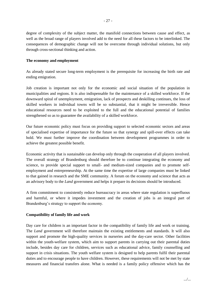degree of complexity of the subject matter, the manifold connections between cause and effect, as well as the broad range of players involved add to the need for all these factors to be interlinked. The consequences of demographic change will not be overcome through individual solutions, but only through cross-sectional thinking and action.

## **The economy and employment**

As already stated secure long-term employment is the prerequisite for increasing the birth rate and ending emigration.

Job creation is important not only for the economic and social situation of the population in municipalities and regions. It is also indispensable for the maintenance of a skilled workforce. If the downward spiral of unemployment, emigration, lack of prospects and deskilling continues, the loss of skilled workers in individual towns will be so substantial, that it might be irreversible. Hence educational resources need to be exploited to the full and the educational potential of families strengthened so as to guarantee the availability of a skilled workforce.

Our future economic policy must focus on providing support to selected economic sectors and areas of specialised expertise of importance for the future so that synergy and spill-over effects can take hold. We must further improve the coordination between development programmes in order to achieve the greatest possible benefit.

Economic activity that is sustainable can develop only through the cooperation of all players involved. The overall strategy of Brandenburg should therefore be to continue integrating the economy and science, to provide special support to small- and medium-sized companies and to promote selfemployment and entrepreneurship. At the same time the expertise of large companies must be linked to that gained in research and the SME community. A forum on the economy and science that acts as an advisory body to the *Land* government and helps it prepare its decisions should be introduced.

A firm commitment to consistently reduce bureaucracy in areas where state regulation is superfluous and harmful, or where it impedes investment and the creation of jobs is an integral part of Brandenburg's strategy to support the economy.

# **Compatibility of family life and work**

Day care for children is an important factor in the compatibility of family life and work or training. The *Land* government will therefore maintain the existing entitlements and standards. It will also support and promote the high-quality services in nurseries and the day-care sector. Other facilities within the youth-welfare system, which aim to support parents in carrying out their parental duties include, besides day care for children, services such as educational advice, family counselling and support in crisis situations. The youth welfare system is designed to help parents fulfil their parental duties and to encourage people to have children. However, these requirements will not be met by state measures and financial transfers alone. What is needed is a family policy offensive which has the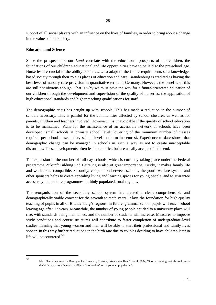support of all social players with an influence on the lives of families, in order to bring about a change in the values of our society.

## **Education and Science**

Since the prospects for our *Land* correlate with the educational prospects of our children, the foundations of our children's educational and life opportunities have to be laid at the pre-school age. Nurseries are crucial to the ability of our *Land* to adapt to the future requirements of a knowledgebased society through their role as places of education and care. Brandenburg is credited as having the best level of nursery care provision in quantitative terms in Germany. However, the benefits of this are still not obvious enough. That is why we must pave the way for a future-orientated education of our children through the development and supervision of the quality of nurseries, the application of high educational standards and higher teaching qualifications for staff.

The demographic crisis has caught up with schools. This has made a reduction in the number of schools necessary. This is painful for the communities affected by school closures, as well as for parents, children and teachers involved. However, it is unavoidable if the quality of school education is to be maintained. Plans for the maintenance of an accessible network of schools have been developed (small schools at primary school level; lowering of the minimum number of classes required per school at secondary school level in the main centres). Experience to date shows that demographic change can be managed in schools in such a way as not to create unacceptable distortions. These developments often lead to conflict, but are usually accepted in the end.

The expansion in the number of full-day schools, which is currently taking place under the Federal programme Zukunft Bildung und Betreung is also of great importance. Firstly, it makes family life and work more compatible. Secondly, cooperation between schools, the youth welfare system and other sponsors helps to create appealing living and learning spaces for young people, and to guarantee access to youth culture programmes in thinly populated, rural regions.

The reorganisation of the secondary school system has created a clear, comprehensible and demographically viable concept for the seventh to tenth years. It lays the foundation for high-quality teaching of pupils in all of Brandenburg's regions. In future, grammar school pupils will reach school leaving age after 12 years. Meanwhile, the number of young people entitled to a university place will rise, with standards being maintained, and the number of students will increase. Measures to improve study conditions and course structures will contribute to faster completion of undergraduate-level studies meaning that young women and men will be able to start their professional and family lives sooner. In this way further reductions in the birth rate due to couples deciding to have children later in life will be countered. $32$ 

32

Max Planck Institute for Demographic Research, Rostock, "Aus erster Hand" No. 4, 2004, "Shorter training periods could raise the birth rate –complementary effect of a school reform: a younger population".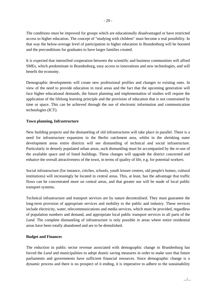The conditions must be improved for groups which are educationally disadvantaged or have restricted access to higher education. The concept of "studying with children" must become a real possibility. In that way the below-average level of participation in higher education in Brandenburg will be boosted and the preconditions for graduates to have larger families created.

It is expected that intensified cooperation between the scientific and business communities will afford SMEs, which predominate in Brandenburg, easy access to innovations and new technologies, and will benefit the economy.

Demographic developments will create new professional profiles and changes to existing ones. In view of the need to provide education in rural areas and the fact that the upcoming generation will face higher educational demands, the future planning and implementation of studies will require the application of the lifelong learning principle and the provision of education that is not constrained by time or space. This can be achieved through the use of electronic information and communication technologies (ICT).

## **Town planning, Infrastructure**

New building projects and the dismantling of old infrastructures will take place in parallel. There is a need for infrastructure expansion in the Berlin catchment area, whilst in the shrinking outer development areas entire districts will see dismantling of technical and social infrastructure. Particularly in densely populated urban areas, such dismantling must be accompanied by the re-use of the available space and of listed buildings. These changes will upgrade the district concerned and enhance the overall attractiveness of the town, in terms of quality of life, e.g. for potential workers.

Social infrastructure (for instance, crèches, schools, youth leisure centres, old people's homes, cultural institutions) will increasingly be located in central areas. This, at least, has the advantage that traffic flows can be concentrated more on central areas, and that greater use will be made of local public transport systems.

Technical infrastructure and transport services are by nature decentralised. They must guarantee the long-term provision of appropriate services and mobility to the public and industry. These services include electricity, water, telecommunications and media services, which must be provided, regardless of population numbers and demand, and appropriate local public transport services to all parts of the *Land.* The complete dismantling of infrastructure is only possible in areas where entire residential areas have been totally abandoned and are to be demolished.

#### **Budget and Finances**

The reduction in public sector revenue associated with demographic change in Brandenburg has forced the *Land* and municipalities to adopt drastic saving measures in order to make sure that future parliaments and governments have sufficient financial resources. Since demographic change is a dynamic process and there is no prospect of it ending, it is imperative to adhere to the sustainability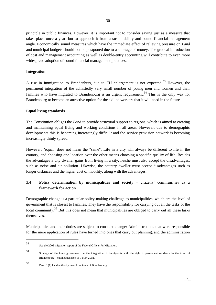principle in public finances. However, it is important not to consider saving just as a measure that takes place once a year, but to approach it from a sustainability and sound financial management angle. Economically sound measures which have the immediate effect of relieving pressure on *Land* and municipal budgets should not be postponed due to a shortage of money. The gradual introduction of cost and management accounting as well as double-entry accounting will contribute to even more widespread adoption of sound financial management practices.

## **Integration**

A rise in immigration to Brandenburg due to EU enlargement is not expected.<sup>33</sup> However, the permanent integration of the admittedly very small number of young men and women and their families who have migrated to Brandenburg is an urgent requirement.<sup>34</sup> This is the only way for Brandenburg to become an attractive option for the skilled workers that it will need in the future.

## **Equal living standards**

The Constitution obliges the *Land* to provide structural support to regions, which is aimed at creating and maintaining equal living and working conditions in all areas. However, due to demographic developments this is becoming increasingly difficult and the service provision network is becoming increasingly thinly spread.

However, "equal" does not mean the "same". Life in a city will always be different to life in the country, and choosing one location over the other means choosing a specific quality of life. Besides the advantages a city dweller gains from living in a city, he/she must also accept the disadvantages, such as noise and air pollution. Likewise, the country dweller must accept disadvantages such as longer distances and the higher cost of mobility, along with the advantages.

# 3.4 **Policy determination by municipalities and society** – citizens' communities as a **framework for action**

Demographic change is a particular policy-making challenge to municipalities, which are the level of government that is closest to families. They have the responsibility for carrying out all the tasks of the local community.<sup>35</sup> But this does not mean that municipalities are obliged to carry out all these tasks themselves.

Municipalities and their duties are subject to constant change: Administrations that were responsible for the mere application of rules have turned into ones that carry out planning, and the administration

<sup>33</sup> See the 2003 migration report of the Federal Officer for Migration.

<sup>34</sup> Strategy of the *Land* government on the integration of immigrants with the right to permanent residence in the *Land* of Brandenburg – cabinet decision of 7 May 2002.

<sup>35</sup> Para. 3 (1) local authority law of the *Land* of Brandenburg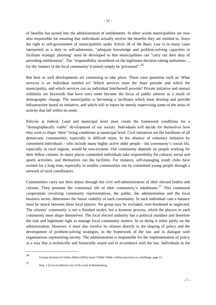of benefits has turned into the administration of entitlements. In other words municipalities are now also responsible for ensuring that individuals actually receive the benefits they are entitled to. Since the right to self-government of municipalities under Article 28 of the Basic Law is in many cases interpreted as a duty to self-administer, "adequate knowledge and problem-solving capacities to facilitate strategic planning" must be developed so that municipalities can "carry out their duty of providing entitlements". The "responsibility incumbent on the legitimate decision-taking authorities ... for the 'matters of the local community' (cannot) simply be 'privatised'".<sup>36</sup>

But here as well developments are continuing to take place. These raise questions such as: What services is an individual entitled to? Which services must the State provide and which the municipality, and which services can an individual him/herself provide? Private initiative and mutual solidarity are keywords that have once more become the focus of public interest as a result of demographic change. The municipality is becoming a facilitator which must develop and provide infrastructure based on initiative, and which will in future be merely supervising some of the areas of activity that fall within its remit.

Policies at federal, *Land* and municipal level must create the framework conditions for a "demographically viable" development of our society. Individuals will decide for themselves how they wish to shape "their" living conditions at municipal level. Civil initiatives are the backbone of all democratic communities, especially in difficult times. In the absence of voluntary initiative by committed individuals - who include many highly active older people - the community's social life, especially in rural regions, would be non-existent. Our community depends on people working for their fellow citizens. In many places committed individuals take responsibility for cultural, social and sports activities, and themselves run the facilities. For instance, self-managing youth clubs have existed for a long time, especially in smaller communities run by committed young people through a network of rural coordinators.

Communities carry out their duties through the civil self-administration of their elected bodies and citizens. They promote the communal life of their community's inhabitants.<sup>37</sup> This communal cooperation, involving community representatives, the public, the administration and the local business sector, determines the future viability of each community. In each individual case a balance must be struck between these local players. No group may be excluded, over-burdened or neglected. The citizens' community is not a finished model, but a dynamic process, which the players in each community must shape themselves. The local elected authority has a political mandate and therefore the task and legitimate right to manage local community matters. In so doing it relies partly on the administration. However, it must also involve its citizens directly in the shaping of policy and the development of problem-solving strategies, in the framework of the law and in dialogue with organisations representing society. The administration is responsible for the implementation of policy in a way that is technically and financially sound and in accordance with the law. Individuals in the

<sup>36</sup> German Institute for Urban Affairs (Difu) report 3/2004: Public welfare provision as a challenge, page 13.

<sup>37</sup> Para. 1 (2) local authority law of the *Land* of Brandenburg.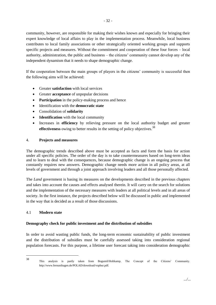community, however, are responsible for making their wishes known and especially for bringing their expert knowledge of local affairs to play in the implementation process. Meanwhile, local business contributes to local family associations or other strategically oriented working groups and supports specific projects and measures. Without the commitment and cooperation of these four forces – local authority, administration, the public and business – the citizens' community cannot develop any of the independent dynamism that it needs to shape demographic change.

If the cooperation between the main groups of players in the citizens' community is successful then the following aims will be achieved:

- Greater **satisfaction** with local services
- Greater **acceptance** of unpopular decisions
- **Participation** in the policy-making process and hence
- Identification with the **democratic state**
- Consolidation of **solidarity**
- **•** Identification with the local community
- Increases in **efficiency** by relieving pressure on the local authority budget and greater **effectiveness** owing to better results in the setting of policy objectives.<sup>38</sup>

## 4. **Projects and measures**

The demographic trends described above must be accepted as facts and form the basis for action under all specific policies. The order of the day is to take countermeasures based on long-term ideas and to learn to deal with the consequences, because demographic change is an ongoing process that constantly requires new answers. Demographic change needs more action in all policy areas, at all levels of government and through a joint approach involving leaders and all those personally affected.

The *Land* government is basing its measures on the developments described in the previous chapters and takes into account the causes and effects analysed therein. It will carry on the search for solutions and the implementation of the necessary measures with leaders at all political levels and in all areas of society. In the first instance, the projects described below will be discussed in public and implemented in the way that is decided as a result of those discussions.

## 4.1 **Modern state**

#### **Demography check for public investment and the distribution of subsidies**

In order to avoid wasting public funds, the long-term economic sustainability of public investment and the distribution of subsidies must be carefully assessed taking into consideration regional population forecasts. For this purpose, a lifetime user forecast taking into consideration demographic

38

This analysis is partly taken from Bogumil/Holtkamp, The Concept of the Citizens' Community. http://www.fernunihagen.de/POLAD/download/vopbur.pdf.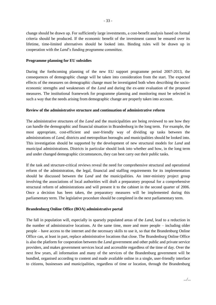change should be drawn up. For sufficiently large investments, a cost-benefit analysis based on formal criteria should be produced. If the economic benefit of the investment cannot be ensured over its lifetime, time-limited alternatives should be looked into. Binding rules will be drawn up in cooperation with the *Land*'s funding programme committee.

#### **Programme planning for EU subsidies**

During the forthcoming planning of the new EU support programme period 2007-2013, the consequences of demographic change will be taken into consideration from the start. The expected effects of the measures on demographic change must be investigated both when describing the socioeconomic strengths and weaknesses of the *Land* and during the ex-ante evaluation of the proposed measures. The institutional framework for programme planning and monitoring must be selected in such a way that the needs arising from demographic change are properly taken into account.

#### **Review of the administrative structure and continuation of administrative reform**

The administrative structures of the *Land* and the municipalities are being reviewed to see how they can handle the demographic and financial situation in Brandenburg in the long term. For example, the most appropriate, cost-efficient and user-friendly way of dividing up tasks between the administrations of *Land*, districts and metropolitan boroughs and municipalities should be looked into. This investigation should be supported by the development of new structural models for *Land* and municipal administrations. Districts in particular should look into whether and how, in the long term and under changed demographic circumstances, they can best carry out their public tasks.

If the task and structure-critical reviews reveal the need for comprehensive structural and operational reform of the administration, the legal, financial and staffing requirements for its implementation should be discussed between the *Land* and the municipalities. An inter-ministry project group involving the associations of local authorities will draft a preparatory proposal for a comprehensive structural reform of administrations and will present it to the cabinet in the second quarter of 2006. Once a decision has been taken, the preparatory measures will be implemented during this parliamentary term. The legislative procedure should be completed in the next parliamentary term.

#### **Brandenburg Online Office (BOA) administrative portal**

The fall in population will, especially in sparsely populated areas of the *Land*, lead to a reduction in the number of administrative locations. At the same time, more and more people –including older people –have access to the internet and the necessary skills to use it, so that the Brandenburg Online Office can, at least in part, replace administrative locations that close. The Brandenburg Online Office is also the platform for cooperation between the *Land* government and other public and private service providers, and makes government services local and accessible regardless of the time of day. Over the next few years, all information and many of the services of the Brandenburg government will be bundled, organised according to content and made available online in a single, user-friendly interface to citizens, businesses and municipalities, regardless of time or location, through the Brandenburg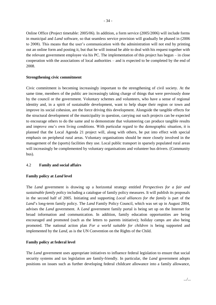Online Office (Project timetable: 2005/06). In addition, a form service (2005/2006) will include forms in municipal and *Land* software, so that seamless service provision will gradually be phased in (2006 to 2008). This means that the user's communication with the administration will not end by printing out an online form and posting it, but that he will instead be able to deal with his request together with the relevant government employee via his PC. The implementation of this project has begun –in close cooperation with the associations of local authorities – and is expected to be completed by the end of 2008.

## **Strengthening civic commitment**

Civic commitment is becoming increasingly important to the strengthening of civil society. At the same time, members of the public are increasingly taking charge of things that were previously done by the council or the government. Voluntary schemes and volunteers, who have a sense of regional identity and, in a spirit of sustainable development, want to help shape their region or town and improve its social cohesion, are the force driving this development. Alongside the tangible effects for the structural development of the municipality in question, carrying out such projects can be expected to encourage others to do the same and to demonstrate that volunteering can produce tangible results and improve one's own living conditions. With particular regard to the demographic situation, it is planned that the Local Agenda 21 project will, along with others, be put into effect with special emphasis on peripheral rural areas. Voluntary organisations should be more closely involved in the management of the (sports) facilities they use. Local public transport in sparsely populated rural areas will increasingly be complemented by voluntary organisations and volunteer bus drivers. (Community bus).

# 4.2 **Family and social affairs**

# **Family policy at** *Land* **level**

The *Land* government is drawing up a horizontal strategy entitled *Perspectives for a fair and sustainable family policy* including a catalogue of family policy measures. It will publish its proposals in the second half of 2005. Initiating and supporting *Local alliances for the family* is part of the Land's long-term family policy. The *Land* Family Policy Council, which was set up in August 2004, advises the *Land* government. A *Land* government family portal is being set up on the Internet for broad information and communication. In addition, family education opportunities are being encouraged and promoted (such as the letters to parents initiative); holiday camps are also being promoted. The national action plan *For a world suitable for children* is being supported and implemented by the *Land*, as is the UN Convention on the Rights of the Child.

# **Family policy at federal level**

The *Land* government uses appropriate initiatives to influence federal legislation to ensure that social security systems and tax legislation are family-friendly. In particular, the *Land* government adopts positions on issues such as further developing federal childcare allowance into a family allowance,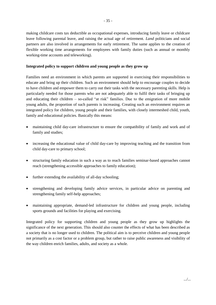making childcare costs tax deductible as occupational expenses, introducing family leave or childcare leave following parental leave, and raising the actual age of retirement. *Land* politicians and social partners are also involved in arrangements for early retirement. The same applies to the creation of flexible working time arrangements for employees with family duties (such as annual or monthly working-time accounts and teleworking).

## **Integrated policy to support children and young people as they grow up**

Families need an environment in which parents are supported in exercising their responsibilities to educate and bring up their children. Such an environment should help to encourage couples to decide to have children and empower them to carry out their tasks with the necessary parenting skills. Help is particularly needed for those parents who are not adequately able to fulfil their tasks of bringing up and educating their children – so-called "at risk" families. Due to the emigration of more mobile young adults, the proportion of such parents is increasing. Creating such an environment requires an integrated policy for children, young people and their families, with closely intermeshed child, youth, family and educational policies. Basically this means:

- maintaining child day-care infrastructure to ensure the compatibility of family and work and of family and studies;
- increasing the educational value of child day-care by improving teaching and the transition from child day-care to primary school;
- structuring family education in such a way as to reach families seminar-based approaches cannot reach (strengthening accessible approaches to family education);
- further extending the availability of all-day schooling:
- strengthening and developing family advice services, in particular advice on parenting and strengthening family self-help approaches;
- maintaining appropriate, demand-led infrastructure for children and young people, including sports grounds and facilities for playing and exercising.

Integrated policy for supporting children and young people as they grow up highlights the significance of the next generation. This should also counter the effects of what has been described as a society that is no longer used to children. The political aim is to perceive children and young people not primarily as a cost factor or a problem group, but rather to raise public awareness and visibility of the way children enrich families, adults, and society as a whole.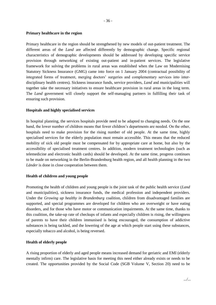#### **Primary healthcare in the region**

Primary healthcare in the region should be strengthened by new models of out-patient treatment. The different areas of the *Land* are affected differently by demographic change. Specific regional characteristics of demographic developments should be addressed by developing specific service provision through networking of existing out-patient and in-patient services. The legislative framework for solving the problems in rural areas was established when the Law on Modernising Statutory Sickness Insurance (GMG) came into force on 1 January 2004 (contractual possibility of integrated forms of treatment, merging doctors' surgeries and complementary services into interdisciplinary health centres). Sickness insurance funds, service providers, *Land* and municipalities will together take the necessary initiatives to ensure healthcare provision in rural areas in the long term. The *Land* government will closely support the self-managing partners in fulfilling their task of ensuring such provision.

## **Hospitals and highly specialised services**

In hospital planning, the services hospitals provide need to be adapted to changing needs. On the one hand, the lower number of children means that fewer children's departments are needed. On the other, hospitals need to make provision for the rising number of old people. At the same time, highly specialised services for the elderly population must remain accessible. This means that the reduced mobility of sick old people must be compensated for by appropriate care at home, but also by the accessibility of specialised treatment centres. In addition, modern treatment technologies (such as telemedicine and electronic health cards) should be developed. At the same time, progress continues to be made on networking in the Berlin-Brandenburg health region, and all health planning in the two *Länder* is done in close cooperation between them.

#### **Health of children and young people**

Promoting the health of children and young people is the joint task of the public health service (*Land* and municipalities), sickness insurance funds, the medical profession and independent providers. Under the *Growing up healthy in Brandenburg* coalition, children from disadvantaged families are supported, and special programmes are developed for children who are overweight or have eating disorders, and for those who have motor or communication impairments. At the same time, thanks to this coalition, the take-up rate of checkups of infants and especially children is rising, the willingness of parents to have their children immunised is being encouraged, the consumption of addictive substances is being tackled, and the lowering of the age at which people start using these substances, especially tobacco and alcohol, is being reversed.

# **Health of elderly people**

A rising proportion of elderly and aged people means increased demand for geriatric and EMI (elderly mentally infirm) care. The legislative basis for meeting this need either already exists or needs to be created. The opportunities provided by the Social Code (SGB Volume V, Section 20) need to be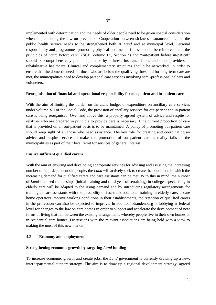implemented with determination and the needs of older people need to be given special consideration when implementing the law on prevention. Cooperation between sickness insurance funds and the public health service needs to be strengthened both at *Land* and at municipal level. Personal responsibility and programmes promoting physical and mental fitness should be reinforced, and the principles of "cure before care" (SGB Volume IX, Section 5) and "out-patient before in-patient" should be comprehensively put into practice by sickness insurance funds and other providers of rehabilitative healthcare. Clinical and complementary structures should be networked. In order to ensure that the domestic needs of those who are below the qualifying threshold for long-term care are met, the municipalities need to develop personal care services involving semi-professional helpers and volunteers.

#### **Reorganisation of financial and operational responsibility for out-patient and in-patient care**

With the aim of limiting the burden on the *Land* budget of expenditure on ancillary care services under volume XII of the Social Code, the provision of ancillary services for out-patient and in-patient care is being reorganised. Over and above this, a properly agreed system of advice and respite for relatives who are prepared in principle to provide care is necessary if the current proportion of care that is provided on an out-patient basis is to be maintained. A policy of promoting out-patient care should keep sight of all those who need assistance. The key role for creating and coordinating an advice and respite service to make the promotion of out-patient care a reality falls to the municipalities as part of their local remit for services of general interest.

#### **Ensure sufficient qualified carers**

With the aim of ensuring and developing appropriate services for advising and assisting the increasing number of help-dependent old people, the *Land* will actively seek to create the conditions in which the increasing demand for qualified carers and care assistants can be met. With this in mind, the number of *Land*-financed traineeships (initial training and third year of retraining) in colleges specialising in elderly care will be adapted to the rising demand and by introducing regulatory arrangements for training as care assistants with the possibility of fast-track additional training in elderly care. If care home operators improve working conditions in their establishments, the retention of qualified carers in the profession can also be expected to improve. In addition, Brandenburg is lobbying at federal level for changes to the law on care homes in order to support and accelerate the development of new forms of living that fall between the existing arrangements whereby people live in their own homes or in residential care homes. Discussions with the relevant associations are being held with a view to making the most of this new market.

#### 4.3 **Economy and employment**

#### **Strengthening economic growth by targeting** *Land* **funding**

To increase economic growth and create jobs, the *Land* government is currently drawing up a new, interdepartmental support strategy. The aim is to draw up a regional development strategy, agreed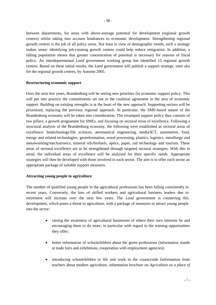between departments, for areas with above-average potential for development (regional growth centres) whilst taking into account hindrances to economic development. Strengthening regional growth centres is the job of all policy areas. Not least in view of demographic trends, such a strategy makes sense: identifying job-creating growth centres could help reduce emigration. In addition, a falling population means that greater concentration of potential is necessary for reasons of fiscal policy. An interdepartmental *Land* government working group has identified 15 regional growth centres. Based on these initial results, the *Land* government will publish a support strategy, inter alia

#### **Restructuring economic support**

for the regional growth centres, by Autumn 2005.

Over the next few years, Brandenburg will be setting new priorities for economic support policy. This will put into practice the commitments set out in the coalition agreement in the area of economic support. Building on existing strengths is at the heart of the new approach. Supporting sectors will be prioritised, replacing the previous regional approach. In particular, the SME-based nature of the Brandenburg economy will be taken into consideration. The revamped support policy thus consists of two pillars: a growth programme for SMEs, and focusing on sectoral areas of excellence. Following a structural analysis of the Brandenburg economy, the following were established as sectoral areas of excellence: biotechnology/life sciences, aeronautical engineering, media/ICT, automotive, food, energy and related technologies, geoinformation, wood processing, plastics, logistics, metallurgy and metalworking/mechatronics, mineral oils/biofuels, optics, paper, rail technology and tourism. These areas of sectoral excellence are to be strengthened through targeted sectoral strategies. With this in mind, the individual areas of excellence will be analysed for their specific needs. Appropriate strategies will then be developed with those involved in each sector. The aim is to offer each sector an appropriate package of suitable support measures.

#### **Attracting young people to agriculture**

The number of qualified young people in the agricultural professions has been falling consistently in recent years. Conversely, the loss of skilled workers and agricultural business leaders due to retirement will increase over the next few years. The *Land* government is countering this development, which poses a threat to agriculture, with a package of measures to attract young people into the sector:

- raising the awareness of agricultural businesses of where their own interests lie and encouraging them to do more, in particular with regard to the training opportunities they offer;
- better information of schoolchildren about the green professions (information stands at trade fairs and exhibitions, cooperation with employment agencies);
- introducing schoolchildren to life and work in the countryside (information from teachers about modern agriculture, information brochure on *Agriculture as a place of*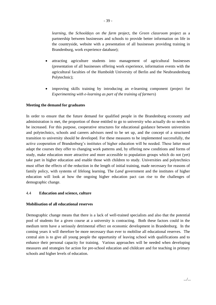*learning*, the *Schooldays on the farm* project, the *Green classroom* project as a partnership between businesses and schools to provide better information on life in the countryside, website with a presentation of all businesses providing training in Brandenburg, work experience database);

- attracting agriculture students into management of agricultural businesses (presentation of all businesses offering work experience, information events with the agricultural faculties of the Humboldt University of Berlin and the Neubrandenburg Polytechnic);
- improving skills training by introducing an e-learning component (project for *Experimenting with e-learning as part of the training of farmers*)

#### **Meeting the demand for graduates**

In order to ensure that the future demand for qualified people in the Brandenburg economy and administration is met, the proportion of those entitled to go to university who actually do so needs to be increased. For this purpose, cooperative structures for educational guidance between universities and polytechnics, schools and careers advisors need to be set up, and the concept of a structured transition to university should be developed. For these measures to be implemented successfully, the active cooperation of Brandenburg's institutes of higher education will be needed. These latter must adapt the courses they offer to changing work patterns and, by offering new conditions and forms of study, make education more attractive and more accessible to population groups which do not (yet) take part in higher education and enable those with children to study. Universities and polytechnics must offset the effects of the reduction in the length of initial training, made necessary for reasons of family policy, with systems of lifelong learning. The *Land* government and the institutes of higher education will look at how the ongoing higher education pact can rise to the challenges of demographic change.

#### 4.4 **Education and science, culture**

#### **Mobilisation of all educational reserves**

Demographic change means that there is a lack of well-trained specialists and also that the potential pool of students for a given course at a university is contracting. Both these factors could in the medium term have a seriously detrimental effect on economic development in Brandenburg. In the coming years it will therefore be more necessary than ever to mobilise all educational reserves. The central aim is to give all young people the opportunity of leaving school with qualifications and to enhance their personal capacity for training. Various approaches will be needed when developing measures and strategies for action for pre-school education and childcare and for teaching in primary schools and higher levels of education.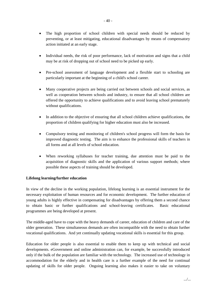- The high proportion of school children with special needs should be reduced by preventing, or at least mitigating, educational disadvantages by means of compensatory action initiated at an early stage.
- Individual needs, the risk of poor performance, lack of motivation and signs that a child may be at risk of dropping out of school need to be picked up early.
- Pre-school assessment of language development and a flexible start to schooling are particularly important at the beginning of a child's school career.
- Many cooperative projects are being carried out between schools and social services, as well as cooperation between schools and industry, to ensure that all school children are offered the opportunity to achieve qualifications and to avoid leaving school prematurely without qualifications.
- In addition to the objective of ensuring that all school children achieve qualifications, the proportion of children qualifying for higher education must also be increased.
- Compulsory testing and monitoring of children's school progress will form the basis for improved diagnostic testing. The aim is to enhance the professional skills of teachers in all forms and at all levels of school education.
- When reworking syllabuses for teacher training, due attention must be paid to the acquisition of diagnostic skills and the application of various support methods; where possible these aspects of training should be developed.

#### **Lifelong learning/further education**

In view of the decline in the working population, lifelong learning is an essential instrument for the necessary exploitation of human resources and for economic development. The further education of young adults is highly effective in compensating for disadvantages by offering them a second chance to obtain basic or further qualifications and school-leaving certificates. Basic educational programmes are being developed at present.

The middle-aged have to cope with the heavy demands of career, education of children and care of the older generation. These simultaneous demands are often incompatible with the need to obtain further vocational qualifications. And yet continually updating vocational skills is essential for this group.

Education for older people is also essential to enable them to keep up with technical and social developments. eGovernment and online administration can, for example, be successfully introduced only if the bulk of the population are familiar with the technology. The increased use of technology in accommodation for the elderly and in health care is a further example of the need for continual updating of skills for older people. Ongoing learning also makes it easier to take on voluntary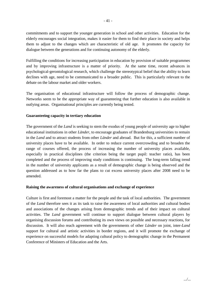commitments and to support the younger generation in school and other activities. Education for the elderly encourages social integration, makes it easier for them to find their place in society and helps them to adjust to the changes which are characteristic of old age. It promotes the capacity for dialogue between the generations and for continuing autonomy of the elderly.

Fulfilling the conditions for increasing participation in education by provision of suitable programmes and by improving infrastructure is a matter of priority. At the same time, recent advances in psychological-gerontological research, which challenge the stereotypical belief that the ability to learn declines with age, need to be communicated to a broader public. This is particularly relevant to the debate on the labour market and older workers.

The organisation of educational infrastructure will follow the process of demographic change. Networks seem to be the appropriate way of guaranteeing that further education is also available in outlying areas. Organisational principles are currently being tested.

#### **Guaranteeing capacity in tertiary education**

The government of the *Land* is seeking to stem the exodus of young people of university age to higher educational institutions in other *Länder*, to encourage graduates of Brandenburg universities to remain in the *Land* and to attract students from other *Länder* and abroad. But for this, a sufficient number of university places have to be available. In order to reduce current overcrowding and to broaden the range of courses offered, the process of increasing the number of university places available, especially in practical disciplines (the criterion being the target pupil: teacher ratio), has been completed and the process of improving study conditions is continuing. The long-term falling trend in the number of university applicants as a result of demographic change is being observed and the question addressed as to how far the plans to cut excess university places after 2008 need to be amended.

#### **Raising the awareness of cultural organisations and exchange of experience**

Culture is first and foremost a matter for the people and the task of local authorities. The government of the *Land* therefore sees it as its task to raise the awareness of local authorities and cultural bodies and associations of the changes arising from demographic trends and of their impact on cultural activities. The *Land* government will continue to support dialogue between cultural players by organising discussion forums and contributing its own views on possible and necessary reactions, for discussion. It will also reach agreement with the governments of other *Länder* on joint, inter-*Land* support for cultural and artistic activities in border regions, and it will promote the exchange of experience on successful models for adapting cultural policy to demographic change in the Permanent Conference of Ministers of Education and the Arts.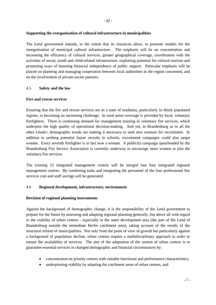## **Supporting the reorganisation of cultural infrastructure in municipalities**

The *Land* government intends, to the extent that its resources allow, to promote models for the reorganisation of municipal cultural infrastructure. The emphasis will be on concentration and increasing the efficiency of cultural services, greater geographical coverage, coordination with the activities of social, youth and child-related infrastructure, exploiting potential for cultural tourism and promoting ways of boosting financial independence of public support. Particular emphasis will be placed on planning and managing cooperation between local authorities in the region concerned, and on the involvement of private-sector partners.

## 4.5 **Safety and the law**

## **Fire and rescue services**

Ensuring that the fire and rescue services are in a state of readiness, particularly in thinly populated regions, is becoming an increasing challenge. In rural areas coverage is provided by local, voluntary firefighters. There is continuing demand for management training in voluntary fire services, which underpins the high quality of operational decision-making. And yet, in Brandenburg as in all the other *Länder*, demographic trends are making it necessary to seek new avenues for recruitment. In addition to seeking potential future recruits in schools, recruitment campaigns could also target women. Every seventh firefighter is in fact now a woman. A publicity campaign spearheaded by the Brandenburg Fire Service Association is currently underway to encourage more women to join the voluntary fire services.

The existing 15 integrated management centres will be merged into four integrated regional management centres. By combining tasks and integrating the personnel of the four professional fire services cost and staff savings will be generated.

#### 4.6 **Regional development, infrastructure, environment**

#### **Revision of regional planning instruments**

Against the background of demographic change, it is the responsibility of the *Land* government to prepare for the future by assessing and adapting regional planning generally, but above all with regard to the viability of urban centres - especially in the outer development area (the part of the *Land* of Brandenburg outside the immediate Berlin catchment area), taking account of the results of the structural reform of municipalities. Not only from the point of view of growth but particularly against a background of population decline, urban centres require a multidisciplinary approach in order to ensure the availability of services. The aim of the adaptation of the system of urban centres is to guarantee essential services in changed demographic and financial circumstances by:

- concentration on priority centres with suitable functional and performance characteristics,
- underpinning viability by adapting the catchment areas of urban centres, and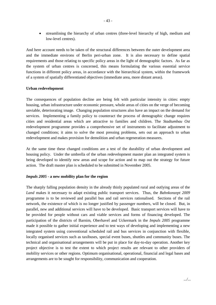streamlining the hierarchy of urban centres (three-level hierarchy of high, medium and low-level centres).

And here account needs to be taken of the structural differences between the outer development area and the immediate environs of Berlin peri-urban zone. It is also necessary to define spatial requirements and those relating to specific policy areas in the light of demographic factors. As far as the system of urban centres is concerned, this means formulating the various essential service functions in different policy areas, in accordance with the hierarchical system, within the framework of a system of spatially differentiated objectives (immediate area, more distant areas).

#### **Urban redevelopment**

The consequences of population decline are being felt with particular intensity in cities: empty housing, urban infrastructure under economic pressure, whole areas of cities on the verge of becoming unviable, deteriorating image. Changing population structures also have an impact on the demand for services. Implementing a family policy to counteract the process of demographic change requires cities and residential areas which are attractive to families and children. The *Stadtumbau Ost* redevelopment programme provides a comprehensive set of instruments to facilitate adjustment to changed conditions; it aims to solve the most pressing problems, sets out an approach to urban redevelopment and makes provision for demolition and urban regeneration measures.

At the same time these changed conditions are a test of the durability of urban development and housing policy. Under the umbrella of the urban redevelopment master plan an integrated system is being developed to identify new areas and scope for action and to map out the strategy for future action. The draft master plan is scheduled to be submitted in November 2005.

#### *Impuls 2005* **- a new mobility plan for the region**

The sharply falling population density in the already thinly populated rural and outlying areas of the *Land* makes it necessary to adapt existing public transport services. Thus, the *Bahnkonzept 2009* programme is to be reviewed and parallel bus and rail services rationalised. Sections of the rail network, the existence of which is no longer justified by passenger numbers, will be closed. But, in parallel, new and additional services will have to be developed. Basic transport services will have to be provided for people without cars and viable services and forms of financing developed. The participation of the districts of Barnim, Oberhavel and Uckermark in the *Impuls 2005* programme made it possible to gather initial experience and to test ways of developing and implementing a new integrated system using conventional scheduled rail and bus services in conjunction with flexible, locally organised services such as taxibuses, special event buses, shuttles and community buses. The technical and organisational arrangements will be put in place for day-to-day operation. Another key project objective is to test the extent to which project results are relevant to other providers of mobility services or other regions. Optimum organisational, operational, financial and legal bases and arrangements are to be sought for responsibility, communication and cooperation.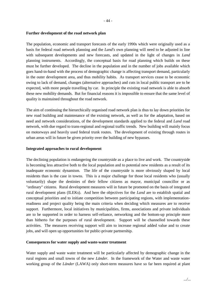#### **Further development of the road network plan**

The population, economic and transport forecasts of the early 1990s which were originally used as a basis for federal road network planning and the *Land's* own planning will need to be adjusted in line with subsequent developments and new forecasts, and updated in the light of changes in *Land* planning instruments. Accordingly, the conceptual basis for road planning which builds on these must be further developed. The decline in the population and in the number of jobs available which goes hand-in-hand with the process of demographic change is affecting transport demand, particularly in the outer development area, and thus mobility habits. As transport services cease to be economic owing to lack of demand, changes (alternative approaches) and cuts in local public transport are to be expected, with more people travelling by car. In principle the existing road network is able to absorb these new mobility demands. But for financial reasons it is impossible to ensure that the same level of quality is maintained throughout the road network.

The aim of continuing the hierarchically organised road network plan is thus to lay down priorities for new road building and maintenance of the existing network, as well as for the adaptation, based on need and network considerations, of the development standards applied to the federal and *Land* road network, with due regard to trans-regional and regional traffic trends. New building will mainly focus on motorways and heavily used federal trunk routes. The development of existing through routes in urban areas will in future be given priority over the building of new bypasses.

#### **Integrated approaches to rural development**

The declining population is endangering the countryside as a place to live and work. The countryside is becoming less attractive both to the local population and to potential new residents as a result of its inadequate economic dynamism. The life of the countryside is more obviously shaped by local residents than is the case in towns. This is a major challenge for those local residents who (usually voluntarily) shape the destinies of their fellow citizens as mayor, municipal councillor or as "ordinary" citizens. Rural development measures will in future be promoted on the basis of integrated rural development plans (ILEKs). And here the objectives for the *Land* are to establish spatial and conceptual priorities and to initiate competition between participating regions, with implementationreadiness and project quality being the main criteria when deciding which measures are to receive support. Furthermore, local initiatives by municipalities, firms, associations and private individuals are to be supported in order to harness self-reliance, networking and the bottom-up principle more than hitherto for the purposes of rural development. Support will be channelled towards these activities. The measures receiving support will aim to increase regional added value and to create jobs, and will open up opportunities for public-private partnership.

#### **Consequences for water supply and waste-water treatment**

Water supply and waste water treatment will be particularly affected by demographic change in the rural regions and small towns of the new *Länder*. In the framework of the Water and waste water working group of the *Länder* (LAWA) only short-term measures have so far been required at plant